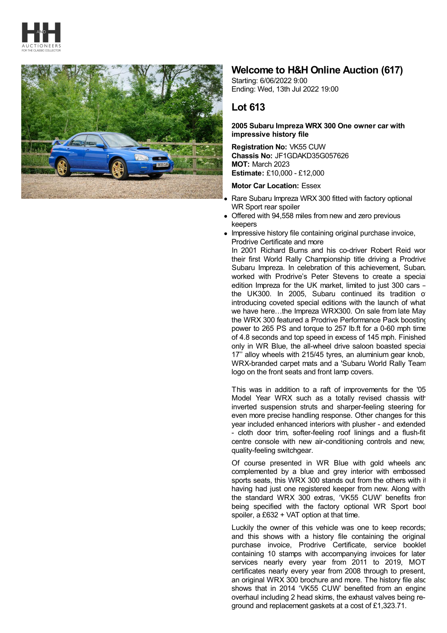



## **Welcome to H&H Online Auction (617)**

Starting: 6/06/2022 9:00 Ending: Wed, 13th Jul 2022 19:00

## **Lot 613**

## **2005 Subaru Impreza WRX 300 One owner car with impressive history file**

**Registration No:** VK55 CUW **Chassis No:** JF1GDAKD35G057626 **MOT:** March 2023 **Estimate:** £10,000 - £12,000

## **Motor Car Location:** Essex

- Rare Subaru Impreza WRX 300 fitted with factory optional WR Sport rear spoiler
- Offered with 94,558 miles from new and zero previous keepers
- Impressive history file containing original purchase invoice, Prodrive Certificate and more

In 2001 Richard Burns and his co-driver Robert Reid wor their first World Rally Championship title driving a Prodrive Subaru Impreza. In celebration of this achievement, Subaru worked with Prodrive's Peter Stevens to create a special edition Impreza for the UK market, limited to just 300 cars – the UK300. In 2005, Subaru continued its tradition of introducing coveted special editions with the launch of what we have here...the Impreza WRX300. On sale from late May the WRX 300 featured a Prodrive Performance Pack boosting power to 265 PS and torque to 257 lb.ft for a 0-60 mph time of 4.8 seconds and top speed in excess of 145 mph. Finished only in WR Blue, the all-wheel drive saloon boasted special 17'' alloy wheels with 215/45 tyres, an aluminium gear knob, WRX-branded carpet mats and a 'Subaru World Rally Team' logo on the front seats and front lamp covers.

This was in addition to a raft of improvements for the '05 Model Year WRX such as a totally revised chassis with inverted suspension struts and sharper-feeling steering for even more precise handling response. Other changes for this year included enhanced interiors with plusher - and extended - cloth door trim, softer-feeling roof linings and a flush-fit centre console with new air-conditioning controls and new, quality-feeling switchgear.

Of course presented in WR Blue with gold wheels and complemented by a blue and grey interior with embossed sports seats, this WRX 300 stands out from the others with it having had just one registered keeper from new. Along with the standard WRX 300 extras, 'VK55 CUW' benefits from being specified with the factory optional WR Sport boot spoiler, a £632 + VAT option at that time.

Luckily the owner of this vehicle was one to keep records; and this shows with a history file containing the original purchase invoice, Prodrive Certificate, service booklet containing 10 stamps with accompanying invoices for later services nearly every year from 2011 to 2019, MOT certificates nearly every year from 2008 through to present, an original WRX 300 brochure and more. The history file also shows that in 2014 'VK55 CUW' benefited from an engine overhaul including 2 head skims, the exhaust valves being reground and replacement gaskets at a cost of £1,323.71.